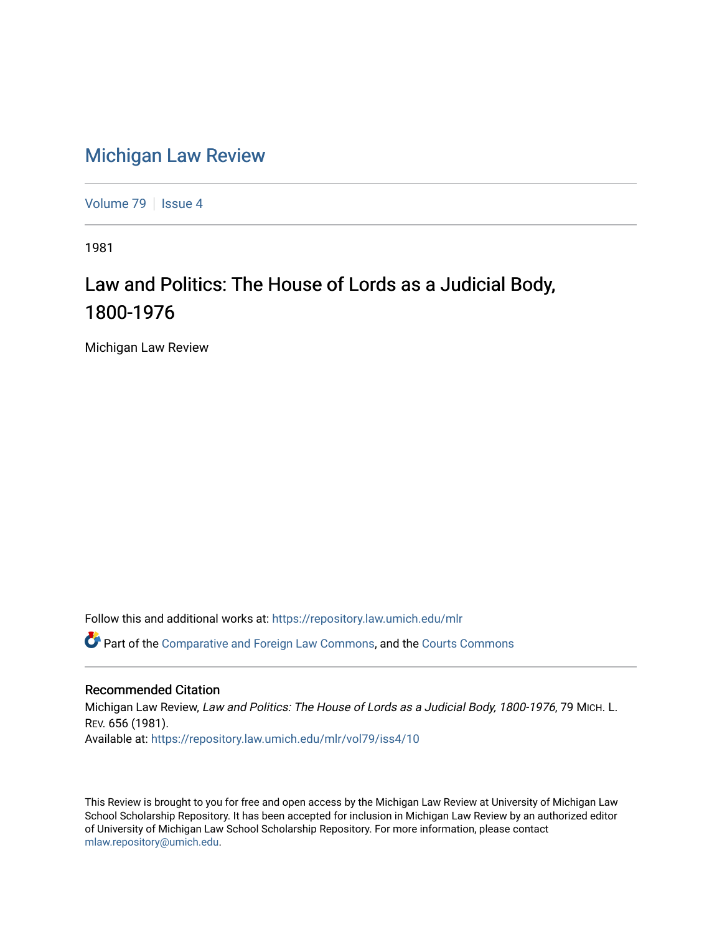## [Michigan Law Review](https://repository.law.umich.edu/mlr)

[Volume 79](https://repository.law.umich.edu/mlr/vol79) | [Issue 4](https://repository.law.umich.edu/mlr/vol79/iss4)

1981

## Law and Politics: The House of Lords as a Judicial Body, 1800-1976

Michigan Law Review

Follow this and additional works at: [https://repository.law.umich.edu/mlr](https://repository.law.umich.edu/mlr?utm_source=repository.law.umich.edu%2Fmlr%2Fvol79%2Fiss4%2F10&utm_medium=PDF&utm_campaign=PDFCoverPages) 

Part of the [Comparative and Foreign Law Commons,](http://network.bepress.com/hgg/discipline/836?utm_source=repository.law.umich.edu%2Fmlr%2Fvol79%2Fiss4%2F10&utm_medium=PDF&utm_campaign=PDFCoverPages) and the [Courts Commons](http://network.bepress.com/hgg/discipline/839?utm_source=repository.law.umich.edu%2Fmlr%2Fvol79%2Fiss4%2F10&utm_medium=PDF&utm_campaign=PDFCoverPages)

## Recommended Citation

Michigan Law Review, Law and Politics: The House of Lords as a Judicial Body, 1800-1976, 79 MICH. L. REV. 656 (1981). Available at: [https://repository.law.umich.edu/mlr/vol79/iss4/10](https://repository.law.umich.edu/mlr/vol79/iss4/10?utm_source=repository.law.umich.edu%2Fmlr%2Fvol79%2Fiss4%2F10&utm_medium=PDF&utm_campaign=PDFCoverPages) 

This Review is brought to you for free and open access by the Michigan Law Review at University of Michigan Law School Scholarship Repository. It has been accepted for inclusion in Michigan Law Review by an authorized editor of University of Michigan Law School Scholarship Repository. For more information, please contact [mlaw.repository@umich.edu.](mailto:mlaw.repository@umich.edu)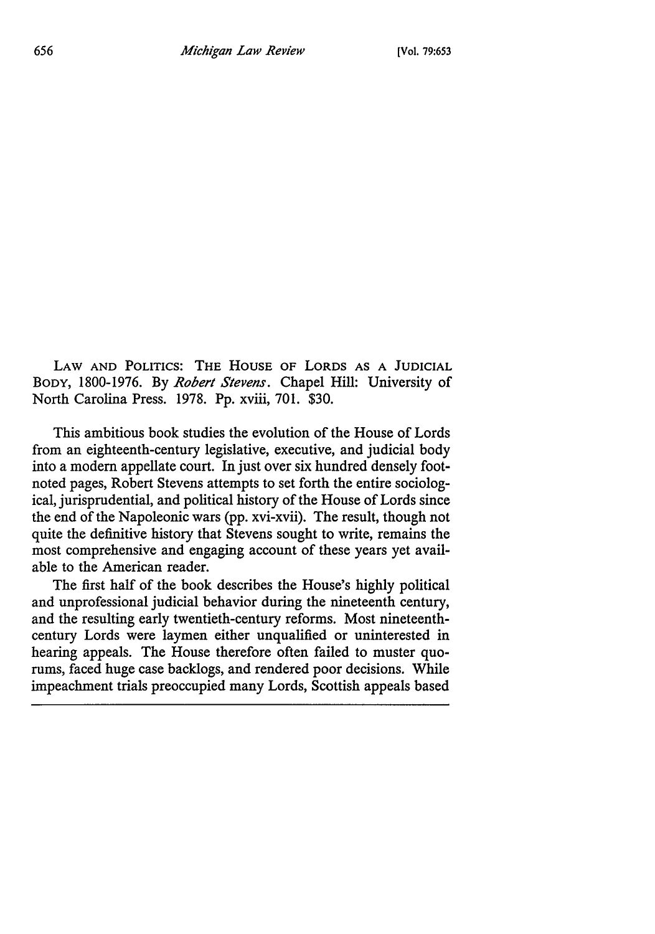LAW AND POLITICS: THE HOUSE OF LORDS AS A JUDICIAL BODY, 1800-1976. By *Robert Stevens.* Chapel Hill: University of North Carolina Press. 1978. Pp. xviii, 701. \$30.

This ambitious book studies the evolution of the House of Lords from an eighteenth-century legislative, executive, and judicial body into a modern appellate court. In just over six hundred densely footnoted pages, Robert Stevens attempts to set forth the entire sociological, jurisprudential, and political history of the House of Lords since the end of the Napoleonic wars (pp. xvi-xvii). The result, though not quite the definitive history that Stevens sought to write, remains the most comprehensive and engaging account of these years yet available to the American reader.

The first half of the book describes the House's highly political and unprofessional judicial behavior during the nineteenth century, and the resulting early twentieth-century reforms. Most nineteenthcentury Lords were laymen either unqualified or uninterested in hearing appeals. The House therefore often failed to muster quorums, faced huge case backlogs, and rendered poor decisions. While impeachment trials preoccupied many Lords, Scottish appeals based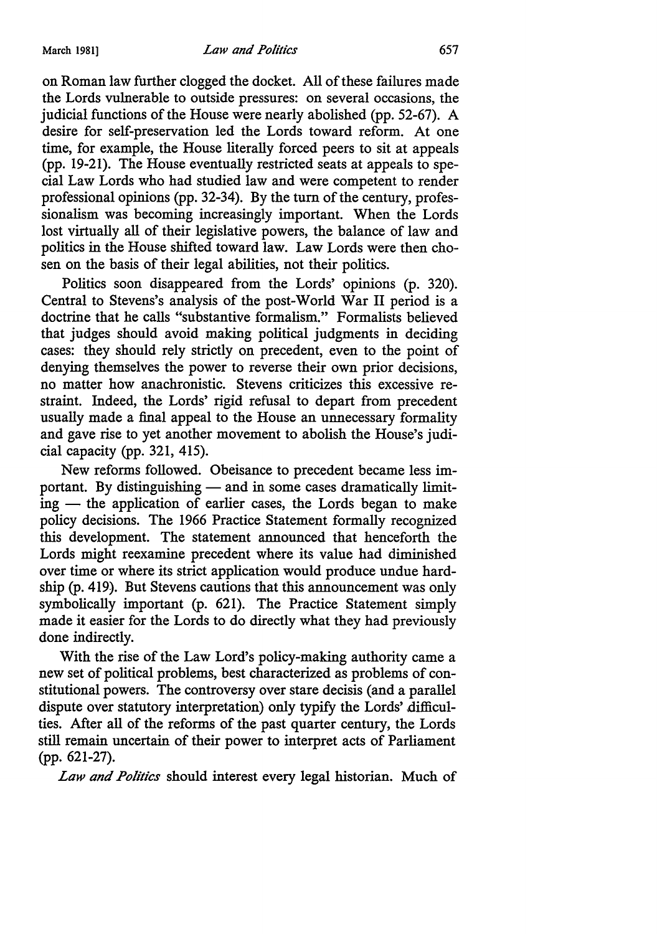on Roman law further clogged the docket. All of these failures made the Lords vulnerable to outside pressures: on several occasions, the judicial functions of the House were nearly abolished (pp. 52-67). A desire for self-preservation led the Lords toward reform. At one time, for example, the House literally forced peers to sit at appeals (pp. 19-21). The House eventually restricted seats at appeals to special Law Lords who had studied law and were competent to render professional opinions (pp. 32-34). By the tum of the century, professionalism was becoming increasingly important. When the Lords lost virtually all of their legislative powers, the balance of law and politics in the House shifted toward law. Law Lords were then chosen on the basis of their legal abilities, not their politics.

Politics soon disappeared from the Lords' opinions (p. 320). Central to Stevens's analysis of the post-World War II period is a doctrine that he calls "substantive formalism." Formalists believed that judges should avoid making political judgments in deciding cases: they should rely strictly on precedent, even to the point of denying themselves the power to reverse their own prior decisions, no matter how anachronistic. Stevens criticizes this excessive restraint. Indeed, the Lords' rigid refusal to depart from precedent usually made a final appeal to the House an unnecessary formality and gave rise to yet another movement to abolish the House's judicial capacity (pp. 321, 415).

New reforms followed. Obeisance to precedent became less important. By distinguishing — and in some cases dramatically limit $ing$  — the application of earlier cases, the Lords began to make policy decisions. The 1966 Practice Statement formally recognized this development. The statement announced that henceforth the Lords might reexamine precedent where its value had diminished over time or where its strict application would produce undue hardship (p. 419). But Stevens cautions that this announcement was only symbolically important (p. 621). The Practice Statement simply made it easier for the Lords to do directly what they had previously done indirectly.

With the rise of the Law Lord's policy-making authority came a new set of political problems, best characterized as problems of constitutional powers. The controversy over stare decisis (and a parallel dispute over statutory interpretation) only typify the Lords' difficulties. After all of the reforms of the past quarter century, the Lords still remain uncertain of their power to interpret acts of Parliament (pp. 621-27).

*Law and Politics* should interest every legal historian. Much of